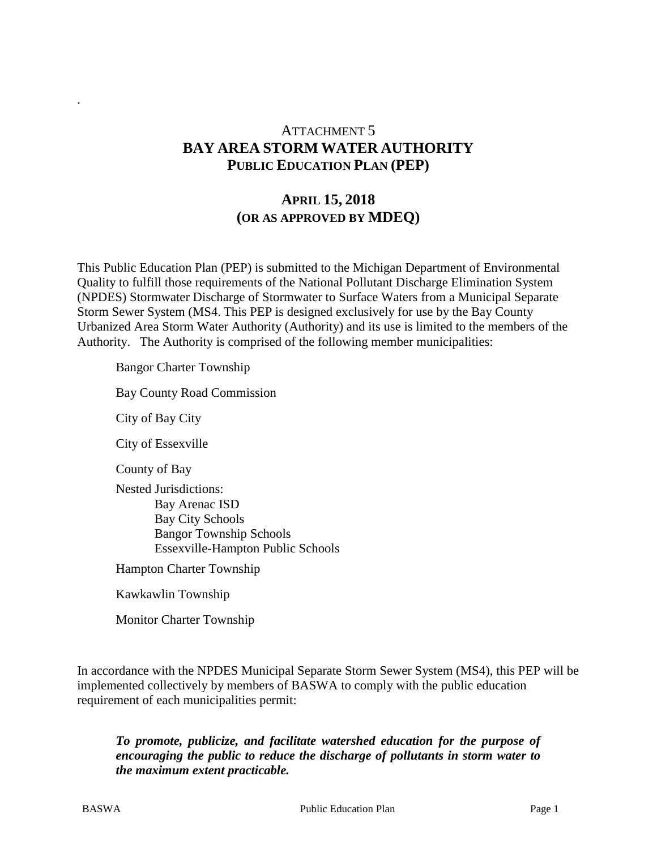## ATTACHMENT 5 **BAY AREA STORM WATER AUTHORITY PUBLIC EDUCATION PLAN (PEP)**

### **APRIL 15, 2018 (OR AS APPROVED BY MDEQ)**

This Public Education Plan (PEP) is submitted to the Michigan Department of Environmental Quality to fulfill those requirements of the National Pollutant Discharge Elimination System (NPDES) Stormwater Discharge of Stormwater to Surface Waters from a Municipal Separate Storm Sewer System (MS4. This PEP is designed exclusively for use by the Bay County Urbanized Area Storm Water Authority (Authority) and its use is limited to the members of the Authority. The Authority is comprised of the following member municipalities:

Bangor Charter Township

Bay County Road Commission

City of Bay City

.

City of Essexville

County of Bay

Nested Jurisdictions: Bay Arenac ISD Bay City Schools Bangor Township Schools Essexville-Hampton Public Schools

Hampton Charter Township

Kawkawlin Township

Monitor Charter Township

In accordance with the NPDES Municipal Separate Storm Sewer System (MS4), this PEP will be implemented collectively by members of BASWA to comply with the public education requirement of each municipalities permit:

*To promote, publicize, and facilitate watershed education for the purpose of encouraging the public to reduce the discharge of pollutants in storm water to the maximum extent practicable.*

BASWA Public Education Plan Page 1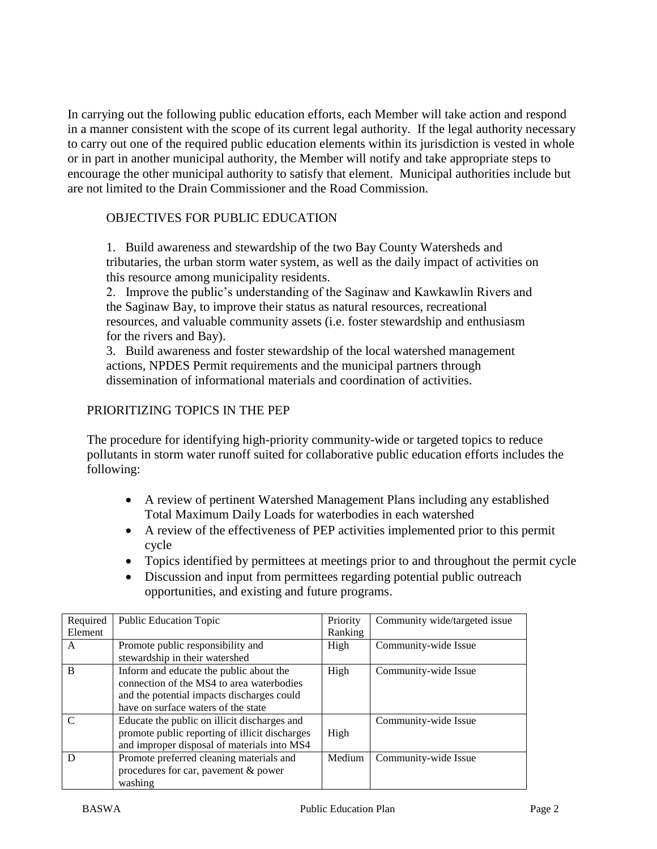In carrying out the following public education efforts, each Member will take action and respond in a manner consistent with the scope of its current legal authority. If the legal authority necessary to carry out one of the required public education elements within its jurisdiction is vested in whole or in part in another municipal authority, the Member will notify and take appropriate steps to encourage the other municipal authority to satisfy that element. Municipal authorities include but are not limited to the Drain Commissioner and the Road Commission.

#### OBJECTIVES FOR PUBLIC EDUCATION

1. Build awareness and stewardship of the two Bay County Watersheds and tributaries, the urban storm water system, as well as the daily impact of activities on this resource among municipality residents.

2. Improve the public's understanding of the Saginaw and Kawkawlin Rivers and the Saginaw Bay, to improve their status as natural resources, recreational resources, and valuable community assets (i.e. foster stewardship and enthusiasm for the rivers and Bay).

3. Build awareness and foster stewardship of the local watershed management actions, NPDES Permit requirements and the municipal partners through dissemination of informational materials and coordination of activities.

#### PRIORITIZING TOPICS IN THE PEP

The procedure for identifying high-priority community-wide or targeted topics to reduce pollutants in storm water runoff suited for collaborative public education efforts includes the following:

- A review of pertinent Watershed Management Plans including any established Total Maximum Daily Loads for waterbodies in each watershed
- A review of the effectiveness of PEP activities implemented prior to this permit cycle
- Topics identified by permittees at meetings prior to and throughout the permit cycle
- Discussion and input from permittees regarding potential public outreach opportunities, and existing and future programs.

| Required | <b>Public Education Topic</b>                  | Priority | Community wide/targeted issue |
|----------|------------------------------------------------|----------|-------------------------------|
| Element  |                                                | Ranking  |                               |
| A        | Promote public responsibility and              | High     | Community-wide Issue          |
|          | stewardship in their watershed                 |          |                               |
| B        | Inform and educate the public about the        | High     | Community-wide Issue          |
|          | connection of the MS4 to area waterbodies      |          |                               |
|          | and the potential impacts discharges could     |          |                               |
|          | have on surface waters of the state            |          |                               |
|          | Educate the public on illicit discharges and   |          | Community-wide Issue          |
|          | promote public reporting of illicit discharges | High     |                               |
|          | and improper disposal of materials into MS4    |          |                               |
| D        | Promote preferred cleaning materials and       | Medium   | Community-wide Issue          |
|          | procedures for car, pavement & power           |          |                               |
|          | washing                                        |          |                               |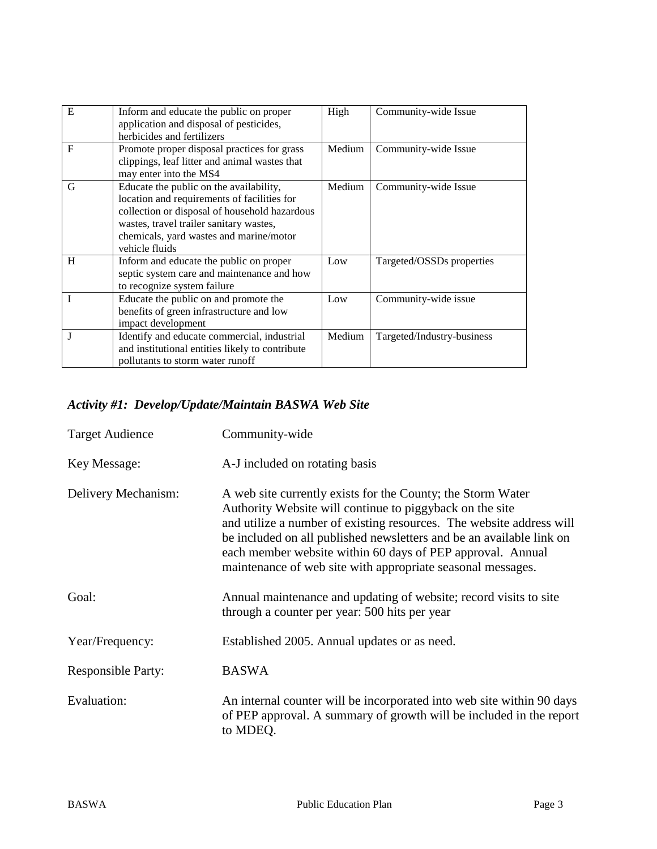| E | Inform and educate the public on proper<br>application and disposal of pesticides,<br>herbicides and fertilizers                                                                                                                                | High   | Community-wide Issue       |
|---|-------------------------------------------------------------------------------------------------------------------------------------------------------------------------------------------------------------------------------------------------|--------|----------------------------|
| F | Promote proper disposal practices for grass<br>clippings, leaf litter and animal wastes that<br>may enter into the MS4                                                                                                                          | Medium | Community-wide Issue       |
| G | Educate the public on the availability,<br>location and requirements of facilities for<br>collection or disposal of household hazardous<br>wastes, travel trailer sanitary wastes,<br>chemicals, yard wastes and marine/motor<br>vehicle fluids | Medium | Community-wide Issue       |
| H | Inform and educate the public on proper<br>septic system care and maintenance and how<br>to recognize system failure                                                                                                                            | Low    | Targeted/OSSDs properties  |
|   | Educate the public on and promote the<br>benefits of green infrastructure and low<br>impact development                                                                                                                                         | Low    | Community-wide issue       |
| J | Identify and educate commercial, industrial<br>and institutional entities likely to contribute<br>pollutants to storm water runoff                                                                                                              | Medium | Targeted/Industry-business |

# *Activity #1: Develop/Update/Maintain BASWA Web Site*

| <b>Target Audience</b>    | Community-wide                                                                                                                                                                                                                                                                                                                                                                                       |
|---------------------------|------------------------------------------------------------------------------------------------------------------------------------------------------------------------------------------------------------------------------------------------------------------------------------------------------------------------------------------------------------------------------------------------------|
| Key Message:              | A-J included on rotating basis                                                                                                                                                                                                                                                                                                                                                                       |
| Delivery Mechanism:       | A web site currently exists for the County; the Storm Water<br>Authority Website will continue to piggyback on the site<br>and utilize a number of existing resources. The website address will<br>be included on all published newsletters and be an available link on<br>each member website within 60 days of PEP approval. Annual<br>maintenance of web site with appropriate seasonal messages. |
| Goal:                     | Annual maintenance and updating of website; record visits to site<br>through a counter per year: 500 hits per year                                                                                                                                                                                                                                                                                   |
| Year/Frequency:           | Established 2005. Annual updates or as need.                                                                                                                                                                                                                                                                                                                                                         |
| <b>Responsible Party:</b> | <b>BASWA</b>                                                                                                                                                                                                                                                                                                                                                                                         |
| Evaluation:               | An internal counter will be incorporated into web site within 90 days<br>of PEP approval. A summary of growth will be included in the report<br>to MDEQ.                                                                                                                                                                                                                                             |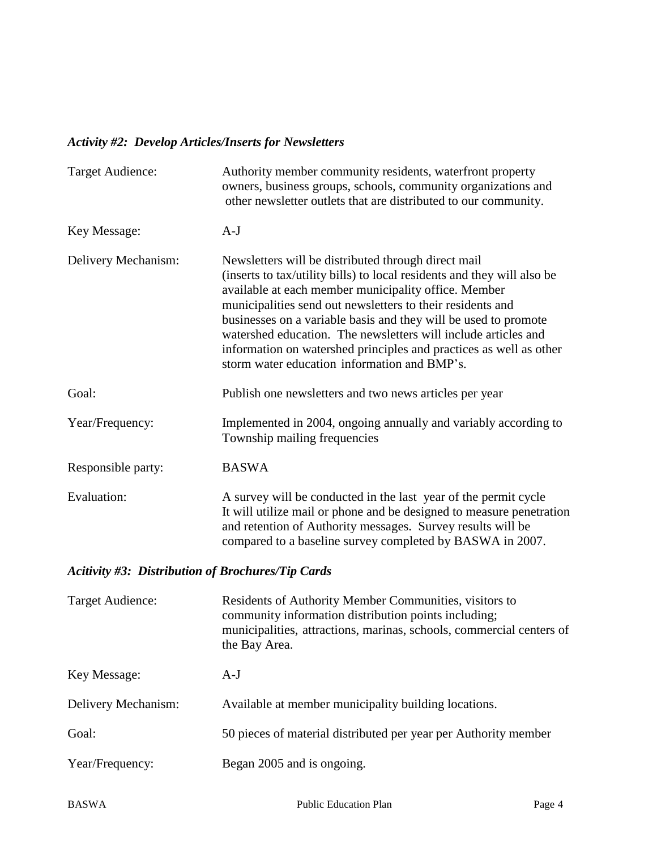# *Activity #2: Develop Articles/Inserts for Newsletters*

| <b>Target Audience:</b>                                  | Authority member community residents, waterfront property<br>owners, business groups, schools, community organizations and<br>other newsletter outlets that are distributed to our community.                                                                                                                                                                                                                                                                                                                   |
|----------------------------------------------------------|-----------------------------------------------------------------------------------------------------------------------------------------------------------------------------------------------------------------------------------------------------------------------------------------------------------------------------------------------------------------------------------------------------------------------------------------------------------------------------------------------------------------|
| Key Message:                                             | $A-J$                                                                                                                                                                                                                                                                                                                                                                                                                                                                                                           |
| Delivery Mechanism:                                      | Newsletters will be distributed through direct mail<br>(inserts to tax/utility bills) to local residents and they will also be<br>available at each member municipality office. Member<br>municipalities send out newsletters to their residents and<br>businesses on a variable basis and they will be used to promote<br>watershed education. The newsletters will include articles and<br>information on watershed principles and practices as well as other<br>storm water education information and BMP's. |
| Goal:                                                    | Publish one newsletters and two news articles per year                                                                                                                                                                                                                                                                                                                                                                                                                                                          |
| Year/Frequency:                                          | Implemented in 2004, ongoing annually and variably according to<br>Township mailing frequencies                                                                                                                                                                                                                                                                                                                                                                                                                 |
| Responsible party:                                       | <b>BASWA</b>                                                                                                                                                                                                                                                                                                                                                                                                                                                                                                    |
| Evaluation:                                              | A survey will be conducted in the last year of the permit cycle<br>It will utilize mail or phone and be designed to measure penetration<br>and retention of Authority messages. Survey results will be<br>compared to a baseline survey completed by BASWA in 2007.                                                                                                                                                                                                                                             |
| <b>Acitivity #3: Distribution of Brochures/Tip Cards</b> |                                                                                                                                                                                                                                                                                                                                                                                                                                                                                                                 |
| <b>Target Audience:</b>                                  | Residents of Authority Member Communities, visitors to<br>community information distribution points including;<br>municipalities, attractions, marinas, schools, commercial centers of<br>the Bay Area.                                                                                                                                                                                                                                                                                                         |
| Key Message:                                             | $A-J$                                                                                                                                                                                                                                                                                                                                                                                                                                                                                                           |
| Delivery Mechanism:                                      | Available at member municipality building locations.                                                                                                                                                                                                                                                                                                                                                                                                                                                            |
| Goal:                                                    | 50 pieces of material distributed per year per Authority member                                                                                                                                                                                                                                                                                                                                                                                                                                                 |
| Year/Frequency:                                          | Began 2005 and is ongoing.                                                                                                                                                                                                                                                                                                                                                                                                                                                                                      |
|                                                          |                                                                                                                                                                                                                                                                                                                                                                                                                                                                                                                 |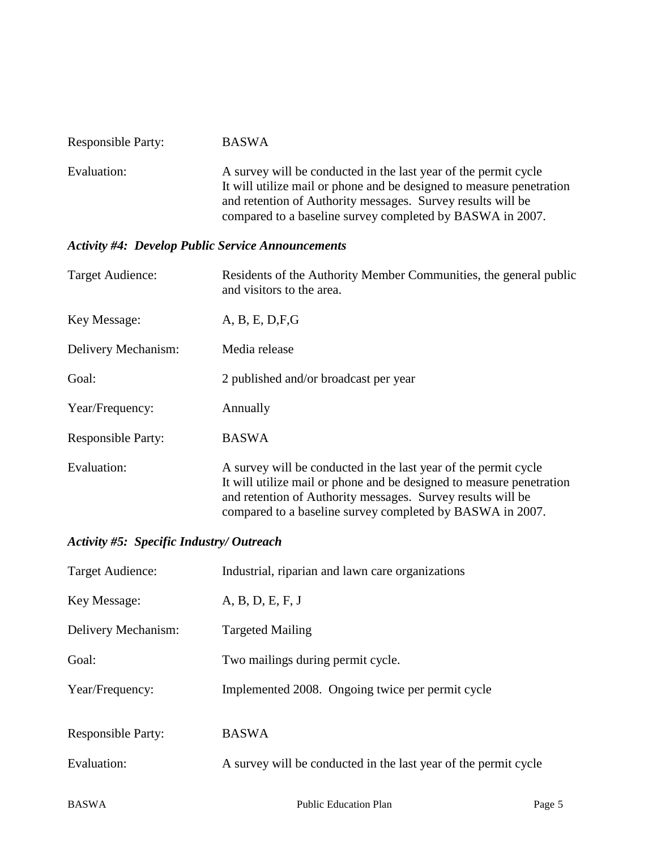| <b>Responsible Party:</b>                                | <b>BASWA</b>                                                                                                                                                                                                                                                        |
|----------------------------------------------------------|---------------------------------------------------------------------------------------------------------------------------------------------------------------------------------------------------------------------------------------------------------------------|
| Evaluation:                                              | A survey will be conducted in the last year of the permit cycle<br>It will utilize mail or phone and be designed to measure penetration<br>and retention of Authority messages. Survey results will be<br>compared to a baseline survey completed by BASWA in 2007. |
| <b>Activity #4: Develop Public Service Announcements</b> |                                                                                                                                                                                                                                                                     |
| <b>Target Audience:</b>                                  | Residents of the Authority Member Communities, the general public<br>and visitors to the area.                                                                                                                                                                      |
| Key Message:                                             | A, B, E, D, F, G                                                                                                                                                                                                                                                    |
| Delivery Mechanism:                                      | Media release                                                                                                                                                                                                                                                       |
| Goal:                                                    | 2 published and/or broadcast per year                                                                                                                                                                                                                               |
| Year/Frequency:                                          | Annually                                                                                                                                                                                                                                                            |
| <b>Responsible Party:</b>                                | <b>BASWA</b>                                                                                                                                                                                                                                                        |
| Evaluation:                                              | A survey will be conducted in the last year of the permit cycle<br>It will utilize mail or phone and be designed to measure penetration<br>and retention of Authority messages. Survey results will be<br>compared to a baseline survey completed by BASWA in 2007. |

### *Activity #5: Specific Industry/ Outreach*

| Target Audience:          | Industrial, riparian and lawn care organizations                |
|---------------------------|-----------------------------------------------------------------|
| Key Message:              | A, B, D, E, F, J                                                |
| Delivery Mechanism:       | <b>Targeted Mailing</b>                                         |
| Goal:                     | Two mailings during permit cycle.                               |
| Year/Frequency:           | Implemented 2008. Ongoing twice per permit cycle                |
| <b>Responsible Party:</b> | <b>BASWA</b>                                                    |
| Evaluation:               | A survey will be conducted in the last year of the permit cycle |
|                           |                                                                 |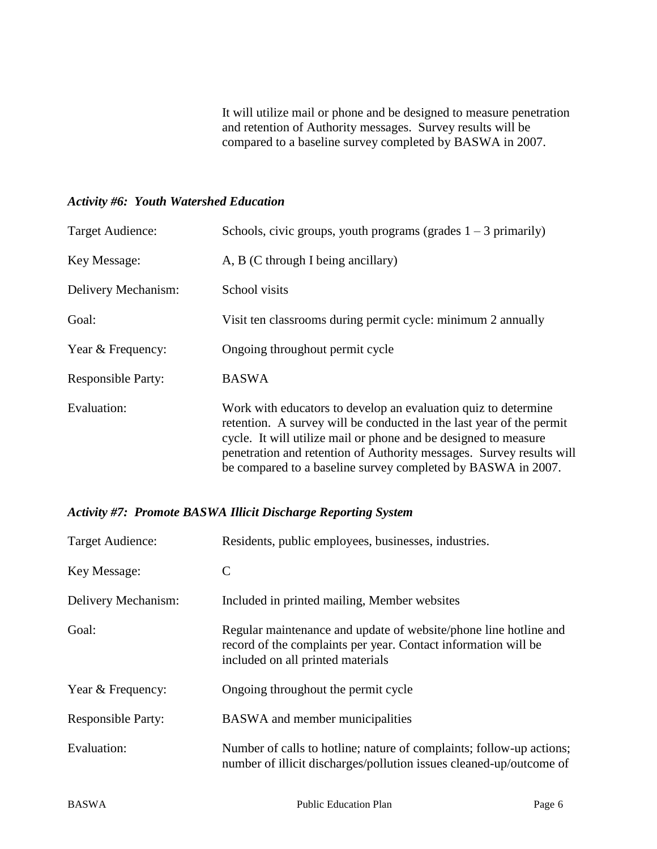It will utilize mail or phone and be designed to measure penetration and retention of Authority messages. Survey results will be compared to a baseline survey completed by BASWA in 2007.

#### *Activity #6: Youth Watershed Education*

| Target Audience:          | Schools, civic groups, youth programs (grades $1 - 3$ primarily)                                                                                                                                                                                                                                                                                  |
|---------------------------|---------------------------------------------------------------------------------------------------------------------------------------------------------------------------------------------------------------------------------------------------------------------------------------------------------------------------------------------------|
| Key Message:              | A, B (C through I being ancillary)                                                                                                                                                                                                                                                                                                                |
| Delivery Mechanism:       | School visits                                                                                                                                                                                                                                                                                                                                     |
| Goal:                     | Visit ten classrooms during permit cycle: minimum 2 annually                                                                                                                                                                                                                                                                                      |
| Year & Frequency:         | Ongoing throughout permit cycle                                                                                                                                                                                                                                                                                                                   |
| <b>Responsible Party:</b> | <b>BASWA</b>                                                                                                                                                                                                                                                                                                                                      |
| Evaluation:               | Work with educators to develop an evaluation quiz to determine<br>retention. A survey will be conducted in the last year of the permit<br>cycle. It will utilize mail or phone and be designed to measure<br>penetration and retention of Authority messages. Survey results will<br>be compared to a baseline survey completed by BASWA in 2007. |

#### *Activity #7: Promote BASWA Illicit Discharge Reporting System*

| <b>Target Audience:</b>   | Residents, public employees, businesses, industries.                                                                                                                    |
|---------------------------|-------------------------------------------------------------------------------------------------------------------------------------------------------------------------|
| Key Message:              | C                                                                                                                                                                       |
| Delivery Mechanism:       | Included in printed mailing, Member websites                                                                                                                            |
| Goal:                     | Regular maintenance and update of website/phone line hotline and<br>record of the complaints per year. Contact information will be<br>included on all printed materials |
| Year & Frequency:         | Ongoing throughout the permit cycle                                                                                                                                     |
| <b>Responsible Party:</b> | <b>BASWA</b> and member municipalities                                                                                                                                  |
| Evaluation:               | Number of calls to hotline; nature of complaints; follow-up actions;<br>number of illicit discharges/pollution issues cleaned-up/outcome of                             |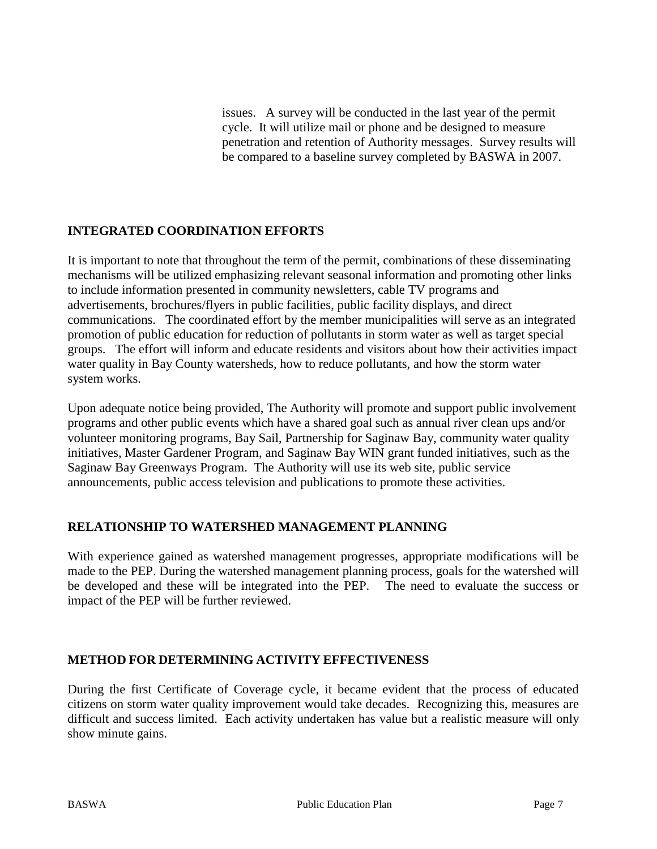issues. A survey will be conducted in the last year of the permit cycle. It will utilize mail or phone and be designed to measure penetration and retention of Authority messages. Survey results will be compared to a baseline survey completed by BASWA in 2007.

#### **INTEGRATED COORDINATION EFFORTS**

It is important to note that throughout the term of the permit, combinations of these disseminating mechanisms will be utilized emphasizing relevant seasonal information and promoting other links to include information presented in community newsletters, cable TV programs and advertisements, brochures/flyers in public facilities, public facility displays, and direct communications. The coordinated effort by the member municipalities will serve as an integrated promotion of public education for reduction of pollutants in storm water as well as target special groups. The effort will inform and educate residents and visitors about how their activities impact water quality in Bay County watersheds, how to reduce pollutants, and how the storm water system works.

Upon adequate notice being provided, The Authority will promote and support public involvement programs and other public events which have a shared goal such as annual river clean ups and/or volunteer monitoring programs, Bay Sail, Partnership for Saginaw Bay, community water quality initiatives, Master Gardener Program, and Saginaw Bay WIN grant funded initiatives, such as the Saginaw Bay Greenways Program. The Authority will use its web site, public service announcements, public access television and publications to promote these activities.

#### **RELATIONSHIP TO WATERSHED MANAGEMENT PLANNING**

With experience gained as watershed management progresses, appropriate modifications will be made to the PEP. During the watershed management planning process, goals for the watershed will be developed and these will be integrated into the PEP. The need to evaluate the success or impact of the PEP will be further reviewed.

#### **METHOD FOR DETERMINING ACTIVITY EFFECTIVENESS**

During the first Certificate of Coverage cycle, it became evident that the process of educated citizens on storm water quality improvement would take decades. Recognizing this, measures are difficult and success limited. Each activity undertaken has value but a realistic measure will only show minute gains.